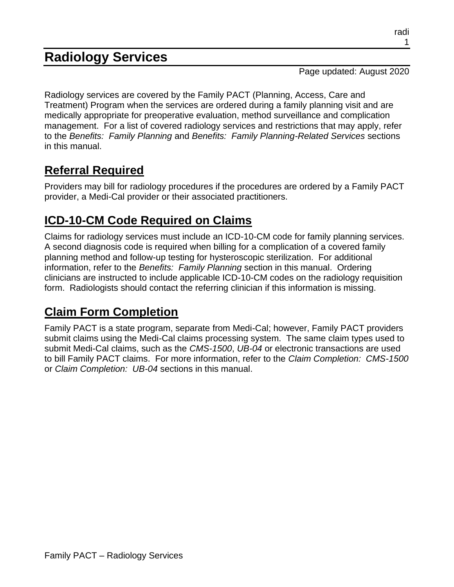# **Radiology Services**

Page updated: August 2020

Radiology services are covered by the Family PACT (Planning, Access, Care and Treatment) Program when the services are ordered during a family planning visit and are medically appropriate for preoperative evaluation, method surveillance and complication management. For a list of covered radiology services and restrictions that may apply, refer to the *Benefits: Family Planning* and *Benefits: Family Planning-Related Services* sections in this manual.

## **Referral Required**

Providers may bill for radiology procedures if the procedures are ordered by a Family PACT provider, a Medi-Cal provider or their associated practitioners.

## **ICD-10-CM Code Required on Claims**

Claims for radiology services must include an ICD-10-CM code for family planning services. A second diagnosis code is required when billing for a complication of a covered family planning method and follow-up testing for hysteroscopic sterilization. For additional information, refer to the *Benefits: Family Planning* section in this manual. Ordering clinicians are instructed to include applicable ICD-10-CM codes on the radiology requisition form. Radiologists should contact the referring clinician if this information is missing.

#### **Claim Form Completion**

Family PACT is a state program, separate from Medi-Cal; however, Family PACT providers submit claims using the Medi-Cal claims processing system. The same claim types used to submit Medi-Cal claims, such as the *CMS-1500*, *UB-04* or electronic transactions are used to bill Family PACT claims. For more information, refer to the *Claim Completion: CMS-1500* or *Claim Completion: UB-04* sections in this manual.